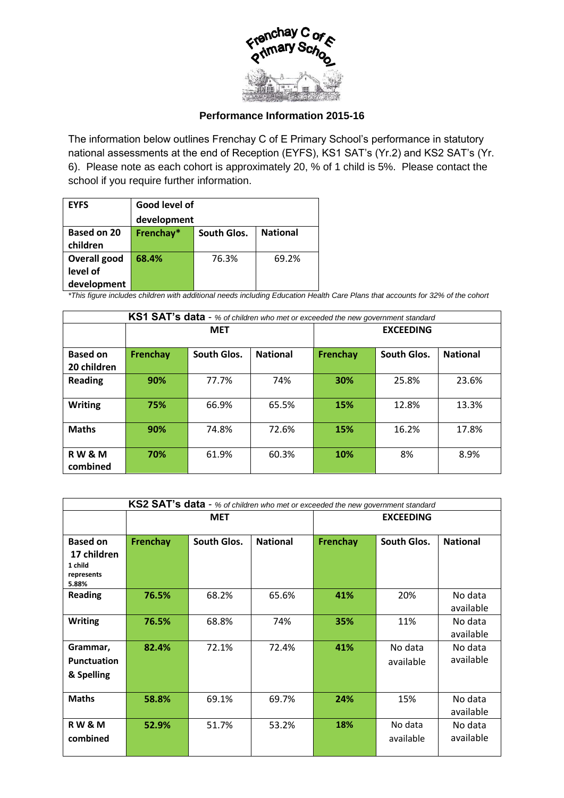

## **Performance Information 2015-16**

The information below outlines Frenchay C of E Primary School's performance in statutory national assessments at the end of Reception (EYFS), KS1 SAT's (Yr.2) and KS2 SAT's (Yr. 6). Please note as each cohort is approximately 20, % of 1 child is 5%. Please contact the school if you require further information.

| <b>EYFS</b>                                    | Good level of |             |                 |  |
|------------------------------------------------|---------------|-------------|-----------------|--|
|                                                | development   |             |                 |  |
| Based on 20<br>children                        | Frenchay*     | South Glos. | <b>National</b> |  |
| <b>Overall good</b><br>level of<br>development | 68.4%         | 76.3%       | 69.2%           |  |

*\*This figure includes children with additional needs including Education Health Care Plans that accounts for 32% of the cohort*

| KS1 SAT's data - % of children who met or exceeded the new government standard |            |             |                 |                  |             |                 |
|--------------------------------------------------------------------------------|------------|-------------|-----------------|------------------|-------------|-----------------|
|                                                                                | <b>MET</b> |             |                 | <b>EXCEEDING</b> |             |                 |
| <b>Based on</b><br>20 children                                                 | Frenchay   | South Glos. | <b>National</b> | Frenchay         | South Glos. | <b>National</b> |
| <b>Reading</b>                                                                 | 90%        | 77.7%       | 74%             | 30%              | 25.8%       | 23.6%           |
| <b>Writing</b>                                                                 | 75%        | 66.9%       | 65.5%           | 15%              | 12.8%       | 13.3%           |
| <b>Maths</b>                                                                   | 90%        | 74.8%       | 72.6%           | 15%              | 16.2%       | 17.8%           |
| <b>RW&amp;M</b><br>combined                                                    | 70%        | 61.9%       | 60.3%           | 10%              | 8%          | 8.9%            |

| KS2 SAT's data - % of children who met or exceeded the new government standard |            |             |                 |                  |             |                 |
|--------------------------------------------------------------------------------|------------|-------------|-----------------|------------------|-------------|-----------------|
|                                                                                | <b>MET</b> |             |                 | <b>EXCEEDING</b> |             |                 |
|                                                                                |            |             |                 |                  |             |                 |
| <b>Based on</b>                                                                | Frenchay   | South Glos. | <b>National</b> | Frenchay         | South Glos. | <b>National</b> |
| 17 children                                                                    |            |             |                 |                  |             |                 |
| 1 child                                                                        |            |             |                 |                  |             |                 |
| represents<br>5.88%                                                            |            |             |                 |                  |             |                 |
| <b>Reading</b>                                                                 | 76.5%      | 68.2%       | 65.6%           | 41%              | 20%         | No data         |
|                                                                                |            |             |                 |                  |             | available       |
| <b>Writing</b>                                                                 | 76.5%      | 68.8%       | 74%             | 35%              | 11%         | No data         |
|                                                                                |            |             |                 |                  |             | available       |
| Grammar,                                                                       | 82.4%      | 72.1%       | 72.4%           | 41%              | No data     | No data         |
| <b>Punctuation</b>                                                             |            |             |                 |                  | available   | available       |
| & Spelling                                                                     |            |             |                 |                  |             |                 |
|                                                                                |            |             |                 |                  |             |                 |
| <b>Maths</b>                                                                   | 58.8%      | 69.1%       | 69.7%           | 24%              | 15%         | No data         |
|                                                                                |            |             |                 |                  |             | available       |
| <b>RW&amp;M</b>                                                                | 52.9%      | 51.7%       | 53.2%           | 18%              | No data     | No data         |
| combined                                                                       |            |             |                 |                  | available   | available       |
|                                                                                |            |             |                 |                  |             |                 |